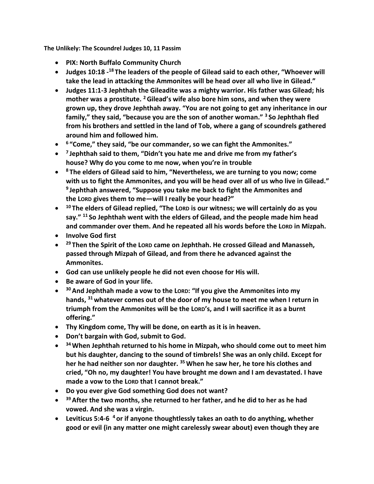**The Unlikely: The Scoundrel Judges 10, 11 Passim**

- **PIX: North Buffalo Community Church**
- **Judges 10:18 - <sup>18</sup> The leaders of the people of Gilead said to each other, "Whoever will take the lead in attacking the Ammonites will be head over all who live in Gilead."**
- **Judges 11:1-3 Jephthah the Gileadite was a mighty warrior. His father was Gilead; his mother was a prostitute. <sup>2</sup>Gilead's wife also bore him sons, and when they were grown up, they drove Jephthah away. "You are not going to get any inheritance in our family," they said, "because you are the son of another woman." <sup>3</sup> So Jephthah fled from his brothers and settled in the land of Tob, where a gang of scoundrels gathered around him and followed him.**
- **6 "Come," they said, "be our commander, so we can fight the Ammonites."**
- **7 Jephthah said to them, "Didn't you hate me and drive me from my father's house? Why do you come to me now, when you're in trouble**
- **<sup>8</sup> The elders of Gilead said to him, "Nevertheless, we are turning to you now; come with us to fight the Ammonites, and you will be head over all of us who live in Gilead." 9 Jephthah answered, "Suppose you take me back to fight the Ammonites and the LORD gives them to me—will I really be your head?"**
- **<sup>10</sup> The elders of Gilead replied, "The LORD is our witness; we will certainly do as you say." <sup>11</sup> So Jephthah went with the elders of Gilead, and the people made him head and commander over them. And he repeated all his words before the LORD in Mizpah.**
- **Involve God first**
- **<sup>29</sup> Then the Spirit of the LORD came on Jephthah. He crossed Gilead and Manasseh, passed through Mizpah of Gilead, and from there he advanced against the Ammonites.**
- **God can use unlikely people he did not even choose for His will.**
- **Be aware of God in your life.**
- **<sup>30</sup>And Jephthah made a vow to the LORD: "If you give the Ammonites into my hands, <sup>31</sup> whatever comes out of the door of my house to meet me when I return in triumph from the Ammonites will be the LORD's, and I will sacrifice it as a burnt offering."**
- **Thy Kingdom come, Thy will be done, on earth as it is in heaven.**
- **Don't bargain with God, submit to God.**
- **<sup>34</sup>When Jephthah returned to his home in Mizpah, who should come out to meet him but his daughter, dancing to the sound of timbrels! She was an only child. Except for her he had neither son nor daughter. <sup>35</sup>When he saw her, he tore his clothes and cried, "Oh no, my daughter! You have brought me down and I am devastated. I have made a vow to the LORD that I cannot break."**
- **Do you ever give God something God does not want?**
- **<sup>39</sup>After the two months, she returned to her father, and he did to her as he had vowed. And she was a virgin.**
- **Leviticus 5:4-6 <sup>4</sup> or if anyone thoughtlessly takes an oath to do anything, whether good or evil (in any matter one might carelessly swear about) even though they are**